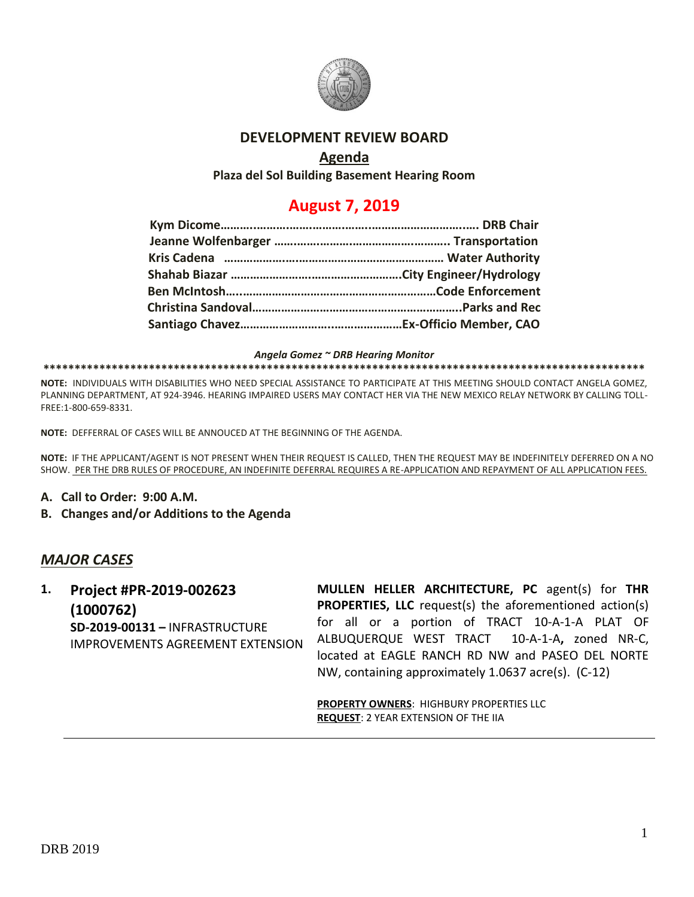

## **DEVELOPMENT REVIEW BOARD**

## **Agenda**

**Plaza del Sol Building Basement Hearing Room**

# **August 7, 2019**

*Angela Gomez ~ DRB Hearing Monitor*

#### **\*\*\*\*\*\*\*\*\*\*\*\*\*\*\*\*\*\*\*\*\*\*\*\*\*\*\*\*\*\*\*\*\*\*\*\*\*\*\*\*\*\*\*\*\*\*\*\*\*\*\*\*\*\*\*\*\*\*\*\*\*\*\*\*\*\*\*\*\*\*\*\*\*\*\*\*\*\*\*\*\*\*\*\*\*\*\*\*\*\*\*\*\*\*\*\*\***

**NOTE:** INDIVIDUALS WITH DISABILITIES WHO NEED SPECIAL ASSISTANCE TO PARTICIPATE AT THIS MEETING SHOULD CONTACT ANGELA GOMEZ, PLANNING DEPARTMENT, AT 924-3946. HEARING IMPAIRED USERS MAY CONTACT HER VIA THE NEW MEXICO RELAY NETWORK BY CALLING TOLL-FREE:1-800-659-8331.

**NOTE:** DEFFERRAL OF CASES WILL BE ANNOUCED AT THE BEGINNING OF THE AGENDA.

**NOTE:** IF THE APPLICANT/AGENT IS NOT PRESENT WHEN THEIR REQUEST IS CALLED, THEN THE REQUEST MAY BE INDEFINITELY DEFERRED ON A NO SHOW. PER THE DRB RULES OF PROCEDURE, AN INDEFINITE DEFERRAL REQUIRES A RE-APPLICATION AND REPAYMENT OF ALL APPLICATION FEES.

- **A. Call to Order: 9:00 A.M.**
- **B. Changes and/or Additions to the Agenda**

## *MAJOR CASES*

**1. Project #PR-2019-002623 (1000762) SD-2019-00131 –** INFRASTRUCTURE IMPROVEMENTS AGREEMENT EXTENSION **MULLEN HELLER ARCHITECTURE, PC** agent(s) for **THR PROPERTIES, LLC** request(s) the aforementioned action(s) for all or a portion of TRACT 10-A-1-A PLAT OF ALBUQUERQUE WEST TRACT 10-A-1-A**,** zoned NR-C, located at EAGLE RANCH RD NW and PASEO DEL NORTE NW, containing approximately 1.0637 acre(s). (C-12)

**PROPERTY OWNERS**: HIGHBURY PROPERTIES LLC **REQUEST**: 2 YEAR EXTENSION OF THE IIA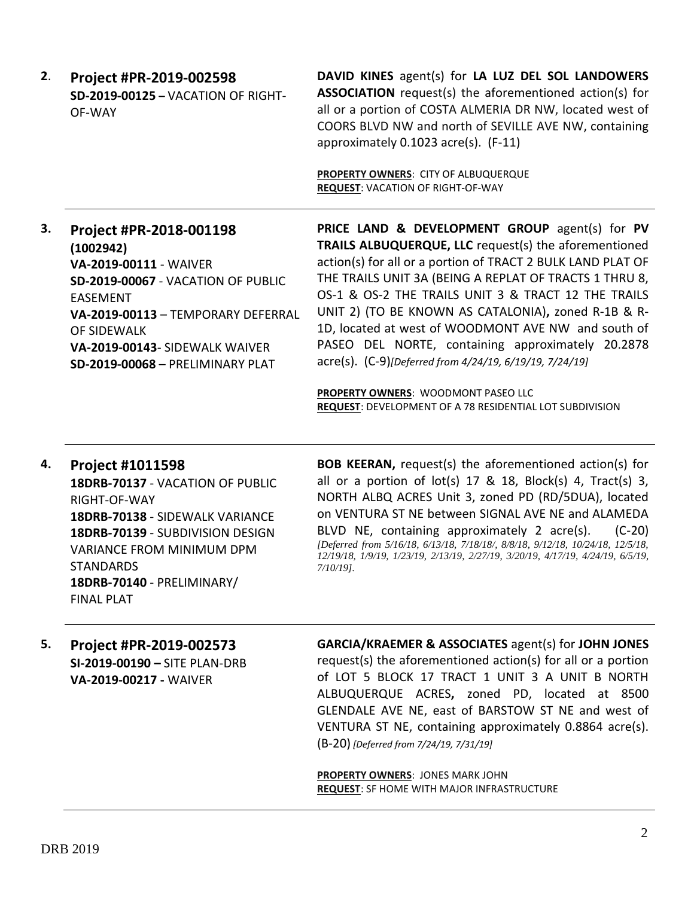**2**. **Project #PR-2019-002598 SD-2019-00125 –** VACATION OF RIGHT-OF-WAY

**DAVID KINES** agent(s) for **LA LUZ DEL SOL LANDOWERS ASSOCIATION** request(s) the aforementioned action(s) for all or a portion of COSTA ALMERIA DR NW, located west of COORS BLVD NW and north of SEVILLE AVE NW, containing approximately 0.1023 acre(s). (F-11)

**PROPERTY OWNERS**: CITY OF ALBUQUERQUE **REQUEST**: VACATION OF RIGHT-OF-WAY

**3. Project #PR-2018-001198 (1002942) VA-2019-00111** - WAIVER **SD-2019-00067** - VACATION OF PUBLIC EASEMENT **VA-2019-00113** – TEMPORARY DEFERRAL OF SIDEWALK **VA-2019-00143**- SIDEWALK WAIVER **SD-2019-00068** – PRELIMINARY PLAT

**PRICE LAND & DEVELOPMENT GROUP** agent(s) for **PV TRAILS ALBUQUERQUE, LLC** request(s) the aforementioned action(s) for all or a portion of TRACT 2 BULK LAND PLAT OF THE TRAILS UNIT 3A (BEING A REPLAT OF TRACTS 1 THRU 8, OS-1 & OS-2 THE TRAILS UNIT 3 & TRACT 12 THE TRAILS UNIT 2) (TO BE KNOWN AS CATALONIA)**,** zoned R-1B & R-1D, located at west of WOODMONT AVE NW and south of PASEO DEL NORTE, containing approximately 20.2878 acre(s). (C-9)*[Deferred from 4/24/19, 6/19/19, 7/24/19]*

**PROPERTY OWNERS: WOODMONT PASEO LLC REQUEST**: DEVELOPMENT OF A 78 RESIDENTIAL LOT SUBDIVISION

### **4. Project #1011598**

**18DRB-70137** - VACATION OF PUBLIC RIGHT-OF-WAY **18DRB-70138** - SIDEWALK VARIANCE **18DRB-70139** - SUBDIVISION DESIGN VARIANCE FROM MINIMUM DPM **STANDARDS 18DRB-70140** - PRELIMINARY/ FINAL PLAT

**BOB KEERAN,** request(s) the aforementioned action(s) for all or a portion of  $lot(s)$  17 & 18, Block(s) 4, Tract(s) 3, NORTH ALBQ ACRES Unit 3, zoned PD (RD/5DUA), located on VENTURA ST NE between SIGNAL AVE NE and ALAMEDA BLVD NE, containing approximately 2 acre(s). (C-20) *[Deferred from 5/16/18, 6/13/18, 7/18/18/, 8/8/18, 9/12/18, 10/24/18, 12/5/18, 12/19/18, 1/9/19, 1/23/19, 2/13/19, 2/27/19, 3/20/19, 4/17/19, 4/24/19, 6/5/19, 7/10/19].*

**5. Project #PR-2019-002573 SI-2019-00190 –** SITE PLAN-DRB **VA-2019-00217 -** WAIVER

**GARCIA/KRAEMER & ASSOCIATES** agent(s) for **JOHN JONES**

request(s) the aforementioned action(s) for all or a portion of LOT 5 BLOCK 17 TRACT 1 UNIT 3 A UNIT B NORTH ALBUQUERQUE ACRES**,** zoned PD, located at 8500 GLENDALE AVE NE, east of BARSTOW ST NE and west of VENTURA ST NE, containing approximately 0.8864 acre(s). (B-20) *[Deferred from 7/24/19, 7/31/19]*

**PROPERTY OWNERS**: JONES MARK JOHN **REQUEST**: SF HOME WITH MAJOR INFRASTRUCTURE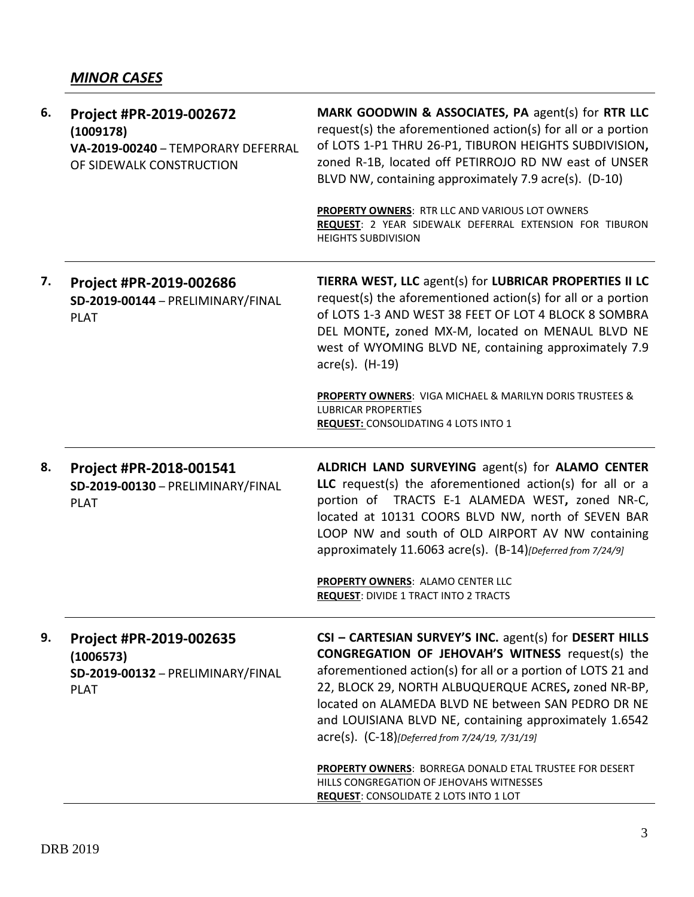| 6. | Project #PR-2019-002672<br>(1009178)<br>VA-2019-00240 - TEMPORARY DEFERRAL<br>OF SIDEWALK CONSTRUCTION | MARK GOODWIN & ASSOCIATES, PA agent(s) for RTR LLC<br>request(s) the aforementioned action(s) for all or a portion<br>of LOTS 1-P1 THRU 26-P1, TIBURON HEIGHTS SUBDIVISION,<br>zoned R-1B, located off PETIRROJO RD NW east of UNSER<br>BLVD NW, containing approximately 7.9 acre(s). (D-10)                                                                                                                |
|----|--------------------------------------------------------------------------------------------------------|--------------------------------------------------------------------------------------------------------------------------------------------------------------------------------------------------------------------------------------------------------------------------------------------------------------------------------------------------------------------------------------------------------------|
|    |                                                                                                        | <b>PROPERTY OWNERS: RTR LLC AND VARIOUS LOT OWNERS</b><br>REQUEST: 2 YEAR SIDEWALK DEFERRAL EXTENSION FOR TIBURON<br><b>HEIGHTS SUBDIVISION</b>                                                                                                                                                                                                                                                              |
| 7. | Project #PR-2019-002686<br>SD-2019-00144 - PRELIMINARY/FINAL<br><b>PLAT</b>                            | TIERRA WEST, LLC agent(s) for LUBRICAR PROPERTIES II LC<br>request(s) the aforementioned action(s) for all or a portion<br>of LOTS 1-3 AND WEST 38 FEET OF LOT 4 BLOCK 8 SOMBRA<br>DEL MONTE, zoned MX-M, located on MENAUL BLVD NE<br>west of WYOMING BLVD NE, containing approximately 7.9<br>acre(s). (H-19)                                                                                              |
|    |                                                                                                        | <b>PROPERTY OWNERS:</b> VIGA MICHAEL & MARILYN DORIS TRUSTEES &<br><b>LUBRICAR PROPERTIES</b><br><b>REQUEST: CONSOLIDATING 4 LOTS INTO 1</b>                                                                                                                                                                                                                                                                 |
|    |                                                                                                        |                                                                                                                                                                                                                                                                                                                                                                                                              |
| 8. | Project #PR-2018-001541<br>SD-2019-00130 - PRELIMINARY/FINAL<br><b>PLAT</b>                            | ALDRICH LAND SURVEYING agent(s) for ALAMO CENTER<br>LLC request(s) the aforementioned action(s) for all or a<br>portion of TRACTS E-1 ALAMEDA WEST, zoned NR-C,<br>located at 10131 COORS BLVD NW, north of SEVEN BAR<br>LOOP NW and south of OLD AIRPORT AV NW containing<br>approximately 11.6063 acre(s). (B-14) [Deferred from 7/24/9]                                                                   |
|    |                                                                                                        | PROPERTY OWNERS: ALAMO CENTER LLC<br><b>REQUEST: DIVIDE 1 TRACT INTO 2 TRACTS</b>                                                                                                                                                                                                                                                                                                                            |
| 9. | Project #PR-2019-002635<br>(1006573)<br>SD-2019-00132 - PRELIMINARY/FINAL<br><b>PLAT</b>               | CSI - CARTESIAN SURVEY'S INC. agent(s) for DESERT HILLS<br><b>CONGREGATION OF JEHOVAH'S WITNESS request(s) the</b><br>aforementioned action(s) for all or a portion of LOTS 21 and<br>22, BLOCK 29, NORTH ALBUQUERQUE ACRES, zoned NR-BP,<br>located on ALAMEDA BLVD NE between SAN PEDRO DR NE<br>and LOUISIANA BLVD NE, containing approximately 1.6542<br>acre(s). (C-18)[Deferred from 7/24/19, 7/31/19] |